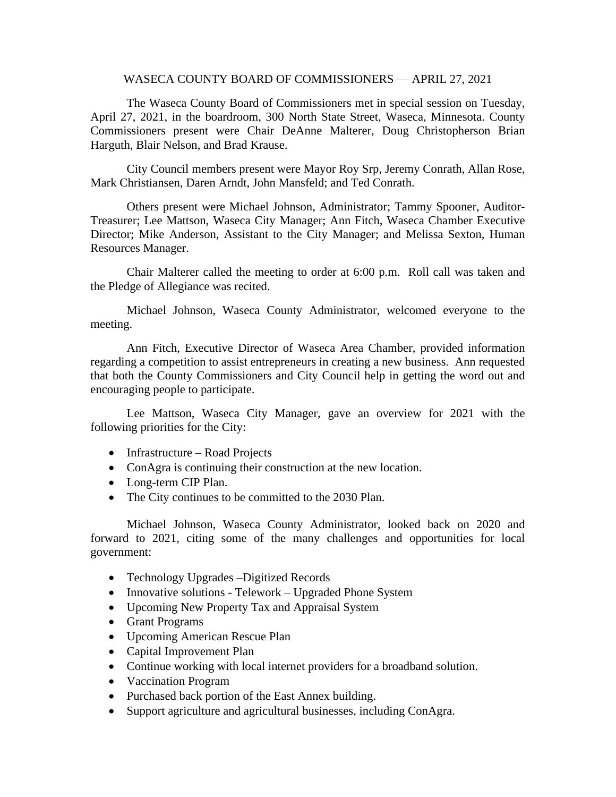## WASECA COUNTY BOARD OF COMMISSIONERS — APRIL 27, 2021

The Waseca County Board of Commissioners met in special session on Tuesday, April 27, 2021, in the boardroom, 300 North State Street, Waseca, Minnesota. County Commissioners present were Chair DeAnne Malterer, Doug Christopherson Brian Harguth, Blair Nelson, and Brad Krause.

City Council members present were Mayor Roy Srp, Jeremy Conrath, Allan Rose, Mark Christiansen, Daren Arndt, John Mansfeld; and Ted Conrath.

Others present were Michael Johnson, Administrator; Tammy Spooner, Auditor-Treasurer; Lee Mattson, Waseca City Manager; Ann Fitch, Waseca Chamber Executive Director; Mike Anderson, Assistant to the City Manager; and Melissa Sexton, Human Resources Manager.

Chair Malterer called the meeting to order at 6:00 p.m. Roll call was taken and the Pledge of Allegiance was recited.

Michael Johnson, Waseca County Administrator, welcomed everyone to the meeting.

Ann Fitch, Executive Director of Waseca Area Chamber, provided information regarding a competition to assist entrepreneurs in creating a new business. Ann requested that both the County Commissioners and City Council help in getting the word out and encouraging people to participate.

Lee Mattson, Waseca City Manager, gave an overview for 2021 with the following priorities for the City:

- Infrastructure Road Projects
- ConAgra is continuing their construction at the new location.
- Long-term CIP Plan.
- The City continues to be committed to the 2030 Plan.

Michael Johnson, Waseca County Administrator, looked back on 2020 and forward to 2021, citing some of the many challenges and opportunities for local government:

- Technology Upgrades –Digitized Records
- Innovative solutions Telework Upgraded Phone System
- Upcoming New Property Tax and Appraisal System
- Grant Programs
- Upcoming American Rescue Plan
- Capital Improvement Plan
- Continue working with local internet providers for a broadband solution.
- Vaccination Program
- Purchased back portion of the East Annex building.
- Support agriculture and agricultural businesses, including ConAgra.